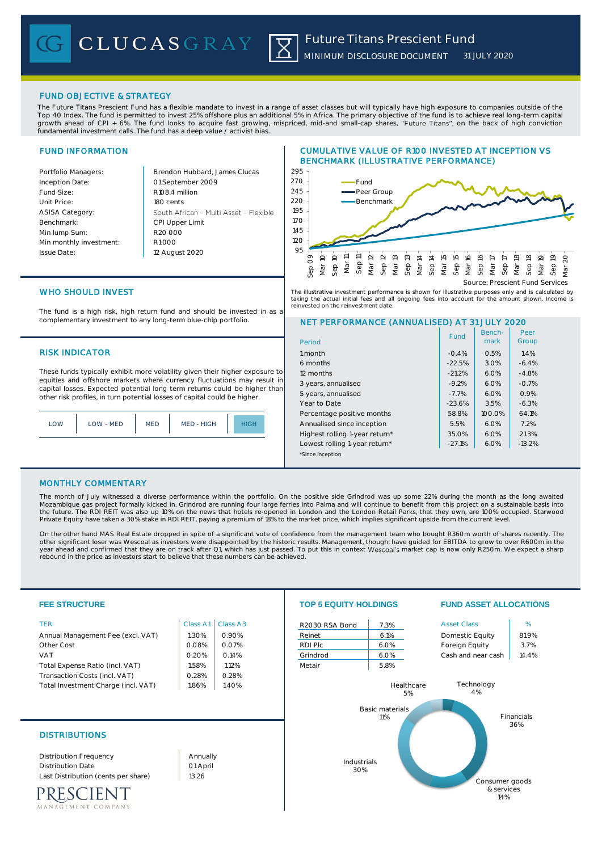# FUND OBJECTIVE & STRATEGY

The Future Titans Prescient Fund has a flexible mandate to invest in a range of asset classes but will typically have high exposure to companies outside of the Top 40 Index. The fund is permitted to invest 25% offshore plus an additional 5% in Africa. The primary objective of the fund is to achieve real long-term capital growth ahead of CPI + 6%. The fund looks to acquire fast growing, mispriced, mid-and small-cap shares, "Future Titans", on the back of high conviction fundamental investment calls. The fund has a deep value / activist bias.

# FUND INFORMATION

| Portfolio Managers:     | Brendon Hubbard, James Clucas          | 295             |
|-------------------------|----------------------------------------|-----------------|
| Inception Date:         | 01 September 2009                      | 270             |
| Fund Size:              | R108.4 million                         | 245             |
| Unit Price:             | 180 cents                              | 220             |
| <b>ASISA Category:</b>  | South African - Multi Asset - Flexible | 195             |
| Benchmark:              | CPI Upper Limit                        | 17 <sub>O</sub> |
| Min lump Sum:           | R <sub>20</sub> 000                    | 145             |
| Min monthly investment: | R1000                                  | 120             |
| Issue Date:             | 12 August 2020                         | 95              |
|                         |                                        |                 |

### CUMULATIVE VALUE OF R100 INVESTED AT INCEPTION VS BENCHMARK (ILLUSTRATIVE PERFORMANCE)



The illustrative investment performance is shown for illustrative purposes only and is calculated by taking the actual initial fees and all ongoing fees into account for the amount shown. Income is<br>reinvested on the reinvestment date .<br>sted on the reinvestment date

> Benchmark

Fund | Bench- | Peer

Peer

NET PERFORMANCE (ANNUALISED) AT 31 JULY 2020

# WHO SHOULD INVEST

The fund is a high risk, high return fund and should be invested in as a complementary investment to any long-term blue-chip portfolio.

# RISK INDICATOR 1999 1999 1999 1999 1999 1999 1999 10:00 10:00 10:00 10:00 10:00 10:00 10:00 10:00 10:00 10:00 10:00 10:00 10:00 10:00 10:00 10:00 10:00 10:00 10:00 10:00 10:00 10:00 10:00 10:00 10:00 10:00 10:00 10:00 10:0

These funds typically exhibit more volatility given their higher exposure to equities and offshore markets where currency fluctuations may result in capital losses. Expected potential long term returns could be higher than other risk profiles, in turn potential losses of capital could be higher.

|  | $\bigcap M$ | <b>I OW - MED</b> | MED | MED - HIGH |  |
|--|-------------|-------------------|-----|------------|--|
|--|-------------|-------------------|-----|------------|--|

| 6 months                       | $-22.5%$ | 3.0%   | $-6.4%$  |  |
|--------------------------------|----------|--------|----------|--|
| 12 months                      | $-21.2%$ | 6.0%   | $-4.8%$  |  |
| 3 years, annualised            | $-9.2%$  | 6.0%   | $-0.7%$  |  |
| 5 years, annualised            | $-7.7%$  | 6.0%   | 0.9%     |  |
| Year to Date                   | $-23.6%$ | 3.5%   | $-6.3%$  |  |
| Percentage positive months     | 58.8%    | 100.0% | 64.1%    |  |
| Annualised since inception     | 5.5%     | 6.0%   | 7.2%     |  |
| Highest rolling 1-year return* | 35.0%    | 6.0%   | 21.3%    |  |
| Lowest rolling 1-year return*  | $-27.1%$ | 6.0%   | $-13.2%$ |  |
| *Since inception               |          |        |          |  |
|                                |          |        |          |  |

## MONTHLY COMMENTARY

The month of July witnessed a diverse performance within the portfolio. On the positive side Grindrod was up some 22% during the month as the long awaited Mozambique gas project formally kicked in. Grindrod are running four large ferries into Palma and will continue to benefit from this project on a sustainable basis into the future. The RDI REIT was also up 10% on the news that hotels re-opened in London and the London Retail Parks, that they own, are 100% occupied. Starwood<br>Private Equity have taken a 30% stake in RDI REIT, paying a premi

Period

On the other hand MAS Real Estate dropped in spite of a significant vote of confidence from the management team who bought R360m worth of shares recently. The other significant loser was Wescoal as investors were disappointed by the historic results. Management, though, have guided for EBITDA to grow to over R600m in the year ahead and confirmed that they are on track after Q1, which has just passed. To put this in context Wescoal's market cap is now only R250m. We expect a sharp rebound in the price as investors start to believe that these numbers can be achieved.